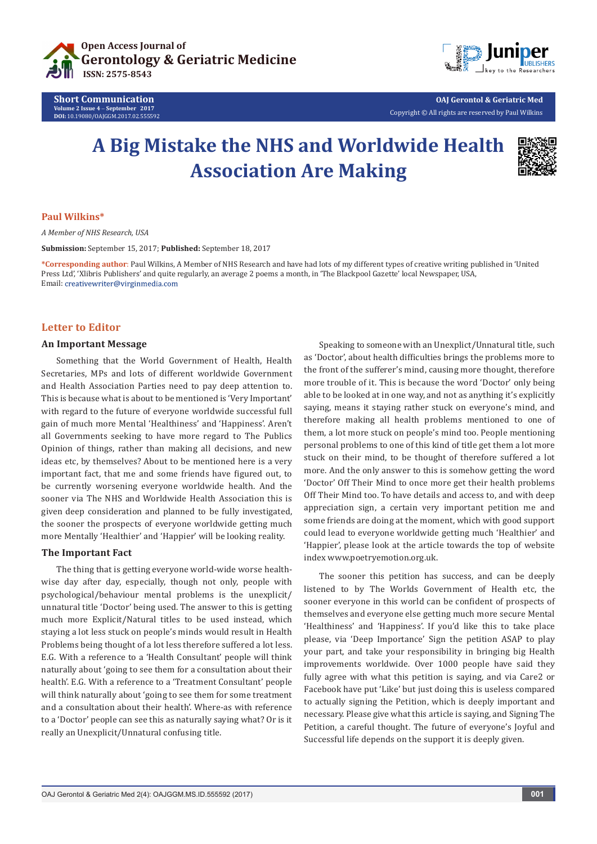

**Short Communication Volume 2 Issue 4** - **September 2017 DOI:** [10.19080/OAJGGM.2017.02.555592](http://dx.doi.org/10.19080/OAJGGM.2017.02.555592
)



**OAJ Gerontol & Geriatric Med** Copyright © All rights are reserved by Paul Wilkins

# **A Big Mistake the NHS and Worldwide Health Association Are Making**



## **Paul Wilkins\***

*A Member of NHS Research, USA*

**Submission:** September 15, 2017; **Published:** September 18, 2017

**\*Corresponding author**: Paul Wilkins, A Member of NHS Research and have had lots of my different types of creative writing published in 'United Press Ltd', 'Xlibris Publishers' and quite regularly, an average 2 poems a month, in 'The Blackpool Gazette' local Newspaper, USA, Email: creativewriter@virginmedia.com

## **Letter to Editor**

### **An Important Message**

Something that the World Government of Health, Health Secretaries, MPs and lots of different worldwide Government and Health Association Parties need to pay deep attention to. This is because what is about to be mentioned is 'Very Important' with regard to the future of everyone worldwide successful full gain of much more Mental 'Healthiness' and 'Happiness'. Aren't all Governments seeking to have more regard to The Publics Opinion of things, rather than making all decisions, and new ideas etc, by themselves? About to be mentioned here is a very important fact, that me and some friends have figured out, to be currently worsening everyone worldwide health. And the sooner via The NHS and Worldwide Health Association this is given deep consideration and planned to be fully investigated, the sooner the prospects of everyone worldwide getting much more Mentally 'Healthier' and 'Happier' will be looking reality.

#### **The Important Fact**

The thing that is getting everyone world-wide worse healthwise day after day, especially, though not only, people with psychological/behaviour mental problems is the unexplicit/ unnatural title 'Doctor' being used. The answer to this is getting much more Explicit/Natural titles to be used instead, which staying a lot less stuck on people's minds would result in Health Problems being thought of a lot less therefore suffered a lot less. E.G. With a reference to a 'Health Consultant' people will think naturally about 'going to see them for a consultation about their health'. E.G. With a reference to a 'Treatment Consultant' people will think naturally about 'going to see them for some treatment and a consultation about their health'. Where-as with reference to a 'Doctor' people can see this as naturally saying what? Or is it really an Unexplicit/Unnatural confusing title.

Speaking to someone with an Unexplict/Unnatural title, such as 'Doctor', about health difficulties brings the problems more to the front of the sufferer's mind, causing more thought, therefore more trouble of it. This is because the word 'Doctor' only being able to be looked at in one way, and not as anything it's explicitly saying, means it staying rather stuck on everyone's mind, and therefore making all health problems mentioned to one of them, a lot more stuck on people's mind too. People mentioning personal problems to one of this kind of title get them a lot more stuck on their mind, to be thought of therefore suffered a lot more. And the only answer to this is somehow getting the word 'Doctor' Off Their Mind to once more get their health problems Off Their Mind too. To have details and access to, and with deep appreciation sign, a certain very important petition me and some friends are doing at the moment, which with good support could lead to everyone worldwide getting much 'Healthier' and 'Happier', please look at the article towards the top of website index www.poetryemotion.org.uk.

The sooner this petition has success, and can be deeply listened to by The Worlds Government of Health etc, the sooner everyone in this world can be confident of prospects of themselves and everyone else getting much more secure Mental 'Healthiness' and 'Happiness'. If you'd like this to take place please, via 'Deep Importance' Sign the petition ASAP to play your part, and take your responsibility in bringing big Health improvements worldwide. Over 1000 people have said they fully agree with what this petition is saying, and via Care2 or Facebook have put 'Like' but just doing this is useless compared to actually signing the Petition, which is deeply important and necessary. Please give what this article is saying, and Signing The Petition, a careful thought. The future of everyone's Joyful and Successful life depends on the support it is deeply given.